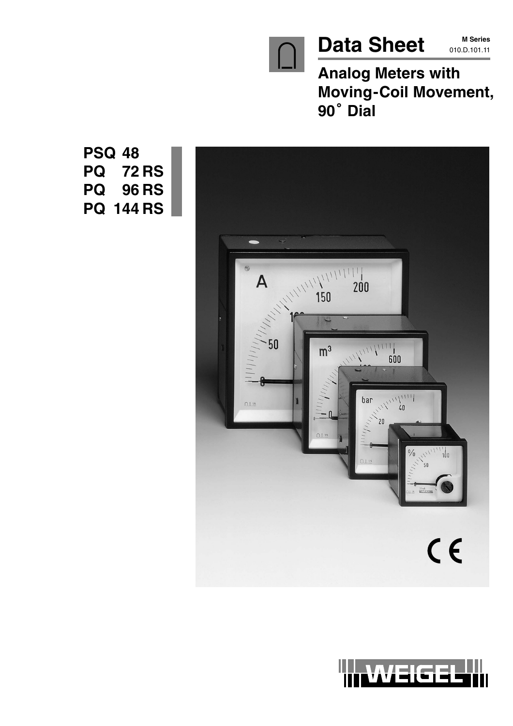

**M Series**

**Analog Meters with Moving-Coil Movement,** Analog<br>Moving·<br>90<sup>°</sup> Dial



**PSQ 48 PQ 72 RS PQ 96 RS PQ 144 RS**

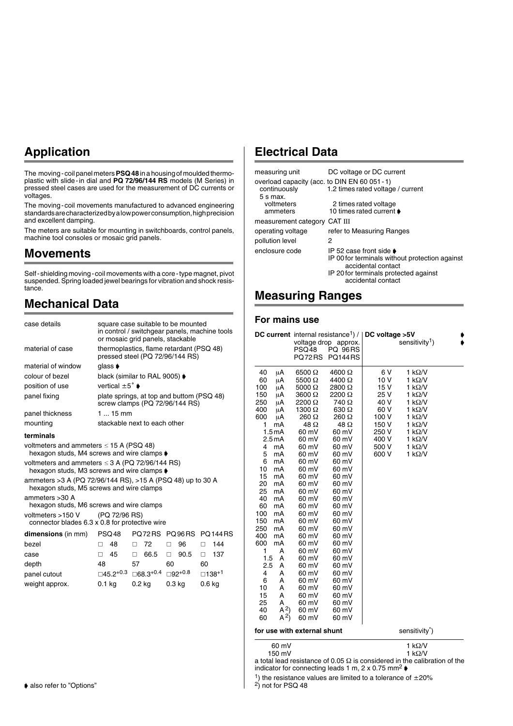# **Application**

The moving-coil panel meters **PSQ 48** in a housing of moulded thermoplastic with slide-in dial and **PQ 72/96/144 RS** models (M Series) in pressed steel cases are used for the measurement of DC currents or voltages.

The moving-coil movements manufactured to advanced engineering standards are characterized by a low power consumption, high precision and excellent damping.

The meters are suitable for mounting in switchboards, control panels, machine tool consoles or mosaic grid panels.

### **Movements**

Self-shielding moving-coil movements with a core-type magnet, pivot suspended. Spring loaded jewel bearings for vibration and shock resistance.

### **Mechanical Data**

| case details                                                                                                           |                                    | square case suitable to be mounted                                          |               |                                               |
|------------------------------------------------------------------------------------------------------------------------|------------------------------------|-----------------------------------------------------------------------------|---------------|-----------------------------------------------|
|                                                                                                                        |                                    | or mosaic grid panels, stackable                                            |               | in control / switchgear panels, machine tools |
| material of case                                                                                                       |                                    | thermoplastics, flame retardant (PSQ 48)<br>pressed steel (PQ 72/96/144 RS) |               |                                               |
| material of window                                                                                                     | qlass <b>▶</b>                     |                                                                             |               |                                               |
| colour of bezel                                                                                                        |                                    | black (similar to RAL 9005) ♦                                               |               |                                               |
| position of use                                                                                                        | vertical $\pm 5^{\circ}$ $\bullet$ |                                                                             |               |                                               |
| panel fixing                                                                                                           |                                    | plate springs, at top and buttom (PSQ 48)<br>screw clamps (PQ 72/96/144 RS) |               |                                               |
| panel thickness                                                                                                        | $115$ mm                           |                                                                             |               |                                               |
| mounting                                                                                                               |                                    | stackable next to each other                                                |               |                                               |
| terminals                                                                                                              |                                    |                                                                             |               |                                               |
| voltmeters and ammeters $\leq$ 15 A (PSQ 48)<br>hexagon studs, M4 screws and wire clamps $\blacktriangleright$         |                                    |                                                                             |               |                                               |
| voltmeters and ammeters $\leq$ 3 A (PQ 72/96/144 RS)<br>hexagon studs, M3 screws and wire clamps $\blacktriangleright$ |                                    |                                                                             |               |                                               |
| ammeters > 3 A (PQ 72/96/144 RS), > 15 A (PSQ 48) up to 30 A<br>hexagon studs, M5 screws and wire clamps               |                                    |                                                                             |               |                                               |
| ammeters > 30 A<br>hexagon studs, M6 screws and wire clamps                                                            |                                    |                                                                             |               |                                               |
| voltmeters >150 V<br>connector blades 6.3 x 0.8 for protective wire                                                    | (PQ 72/96 RS)                      |                                                                             |               |                                               |
| dimensions (in mm)                                                                                                     | PSQ48                              |                                                                             | PQ72RS PQ96RS | <b>PO 144 RS</b>                              |
| bezel                                                                                                                  | 48<br>П.                           | 72<br>$\Box$                                                                | 96<br>$\Box$  | 144<br>П.                                     |
| case                                                                                                                   | 45<br>П.                           | 66.5<br>П.                                                                  | 90.5<br>П.    | 137<br>П.                                     |
| depth                                                                                                                  | 48                                 | 57                                                                          | 60            | 60                                            |
| panel cutout                                                                                                           | ⊟45.2+0.3                          | $\Box$ 68.3 <sup>+0.4</sup> $\Box$ 92 <sup>+0.8</sup>                       |               | $\square$ 138 <sup>+1</sup>                   |
| weight approx.                                                                                                         | 0.1 kg                             | $0.2$ kg                                                                    | 0.3 kg        | 0.6 <sub>k</sub>                              |

### **Electrical Data**

| measuring unit                                | DC voltage or DC current                                                                                                                                               |
|-----------------------------------------------|------------------------------------------------------------------------------------------------------------------------------------------------------------------------|
| overload capacity (acc. to DIN EN 60 051 - 1) |                                                                                                                                                                        |
| continuously                                  | 1.2 times rated voltage / current                                                                                                                                      |
| $5 s$ max.<br>voltmeters                      | 2 times rated voltage                                                                                                                                                  |
| ammeters                                      | 10 times rated current ♦                                                                                                                                               |
| measurement category CAT III                  |                                                                                                                                                                        |
| operating voltage                             | refer to Measuring Ranges                                                                                                                                              |
| pollution level                               | 2                                                                                                                                                                      |
| enclosure code                                | IP 52 case front side $\bullet$<br>IP 00 for terminals without protection against<br>accidental contact<br>IP 20 for terminals protected against<br>accidental contact |

### **Measuring Ranges**

#### **For mains use**

|        |                                          | PSQ48<br>PQ72RS             | DC current internal resistance <sup>1</sup> ) /   DC voltage >5V<br>voltage drop approx.<br><b>PQ 96RS</b><br><b>PQ144 RS</b> |                | sensitivity <sup>1</sup> ) |  |
|--------|------------------------------------------|-----------------------------|-------------------------------------------------------------------------------------------------------------------------------|----------------|----------------------------|--|
| 40     | μA                                       | $6500 \Omega$               | 4600 Ω                                                                                                                        | 6 V            | 1 k $\Omega$ /V            |  |
| 60     | μA                                       | 5500 $\Omega$               | 4400 Ω                                                                                                                        | 10 V           | 1 k $\Omega$ /V            |  |
| 100    | μA                                       | 5000 $\Omega$               | 2800 Ω                                                                                                                        | 15 V           | 1 k $\Omega$ /V            |  |
| 150    | μA                                       | 3600 Ω                      | 2200 Ω                                                                                                                        | 25 V           | 1 $k\Omega/V$              |  |
| 250    | μA                                       | 2200 Ω                      | 740 Ω                                                                                                                         | 40 V           | 1 k $\Omega$ /V            |  |
| 400    | μA                                       | 1300 $\Omega$               | $630 \Omega$                                                                                                                  | 60 V           | 1 k $\Omega$ /V            |  |
| 600    | μA                                       | 260 Ω                       | 260 Ω                                                                                                                         | 100 V          | 1 k $\Omega$ /V            |  |
| 1      | mA                                       | $48\Omega$                  | $48\Omega$                                                                                                                    | 150 V          | 1 k $\Omega$ /V            |  |
|        | 1.5 <sub>m</sub> A<br>2.5 <sub>m</sub> A | 60 mV<br>60 mV              | 60 mV<br>60 mV                                                                                                                | 250 V<br>400 V | 1 kΩ/V<br>1 k $\Omega$ /V  |  |
| 4      | mA                                       | 60 mV                       | 60 mV                                                                                                                         | 500 V          | 1 k $\Omega$ /V            |  |
| 5      | mA                                       | 60 mV                       | 60 mV                                                                                                                         | 600 V          | 1 k $\Omega$ /V            |  |
| 6      | mA                                       | 60 mV                       | 60 mV                                                                                                                         |                |                            |  |
| 10     | mA                                       | 60 mV                       | 60 mV                                                                                                                         |                |                            |  |
| 15     | mA                                       | 60 mV                       | 60 mV                                                                                                                         |                |                            |  |
| 20     | mA                                       | 60 mV                       | 60 mV                                                                                                                         |                |                            |  |
| 25     | mA                                       | 60 mV                       | 60 mV                                                                                                                         |                |                            |  |
| 40     | mA                                       | 60 mV                       | 60 mV                                                                                                                         |                |                            |  |
| 60     | mA                                       | 60 mV                       | 60 mV                                                                                                                         |                |                            |  |
| 100    | mA                                       | 60 mV                       | 60 mV                                                                                                                         |                |                            |  |
| 150    | mA                                       | 60 mV                       | 60 mV                                                                                                                         |                |                            |  |
| 250    | mA                                       | 60 mV                       | 60 mV                                                                                                                         |                |                            |  |
| 400    | mA                                       | 60 mV                       | 60 mV                                                                                                                         |                |                            |  |
| 600    | mA                                       | 60 mV                       | 60 mV                                                                                                                         |                |                            |  |
| 1      | Α                                        | 60 mV                       | 60 mV                                                                                                                         |                |                            |  |
| 1.5    | A                                        | 60 mV                       | 60 mV                                                                                                                         |                |                            |  |
| 2.5    | Α                                        | 60 mV                       | 60 mV                                                                                                                         |                |                            |  |
| 4<br>6 | Α<br>А                                   | 60 mV                       | 60 mV                                                                                                                         |                |                            |  |
| 10     | А                                        | 60 mV<br>60 mV              | 60 mV<br>60 mV                                                                                                                |                |                            |  |
| 15     | А                                        | 60 mV                       | 60 mV                                                                                                                         |                |                            |  |
| 25     | Α                                        | 60 mV                       | 60 mV                                                                                                                         |                |                            |  |
| 40     | A <sup>2</sup>                           | 60 mV                       | 60 mV                                                                                                                         |                |                            |  |
| 60     | $(A^2)$                                  | 60 mV                       | 60 mV                                                                                                                         |                |                            |  |
|        |                                          | for use with external shunt |                                                                                                                               |                | sensitivity <sup>*</sup> ) |  |
|        | 60 mV                                    |                             |                                                                                                                               |                | 1 k $\Omega$ /V            |  |

150 mV 1 k $\Omega$ 1 $k\Omega/V$ a total lead resistance of 0.05  $\Omega$  is considered in the calibration of the indicator for connecting leads 1 m,  $2 \times 0.75$  mm<sup>2</sup>

<sup>1</sup>) the resistance values are limited to a tolerance of  $\pm 20\%$ 

2) not for PSQ 48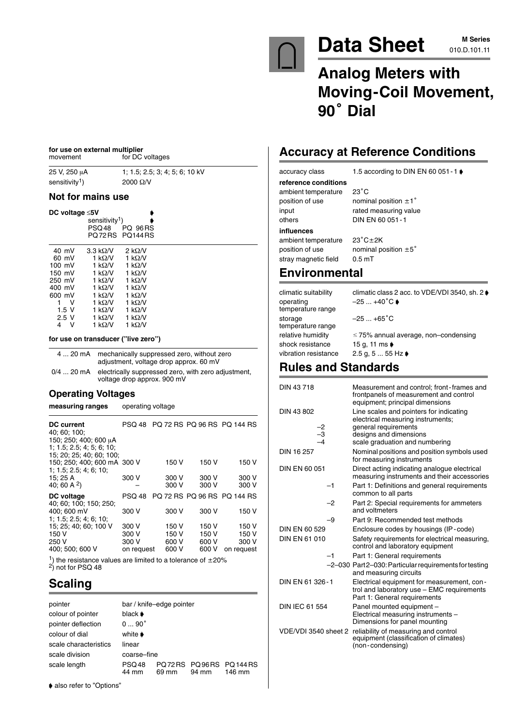

# Data Sheet M Series

**M Series**

# **Analog Meters with Moving-Coil Movement,** Analog<br>Moving·<br>90<sup>°</sup> Dial

# **Accuracy at Reference Conditions**

accuracy class 1.5 according to DIN EN 60 051 - 1 ♦

#### **reference conditions** ambient temperature 23<sup>°</sup>C position of use nominal position  $\pm 1^{\circ}$

input rated measuring value **influences**

others DIN EN 60 051-1

ambient temperature 23°C±2K position of use nominal position  $\pm 5^{\circ}$ stray magnetic field 0.5 mT

# **Environmental**

| climatic suitability<br>operating<br>temperature range | climatic class 2 acc. to VDE/VDI 3540, sh. 2 ♦<br>$-25+40^\circ C$ |
|--------------------------------------------------------|--------------------------------------------------------------------|
| storage<br>temperature range                           | $-25+65^{\circ}C$                                                  |
| relative humidity                                      | $\leq$ 75% annual average, non-condensing                          |
| shock resistance                                       | 15 g, 11 ms $\rightarrow$                                          |
| vibration resistance                                   | 2.5 g, 5  55 Hz $\bullet$                                          |
|                                                        |                                                                    |

# **Rules and Standards**

| DIN 43718            | Measurement and control; front-frames and<br>frontpanels of measurement and control<br>equipment; principal dimensions   |
|----------------------|--------------------------------------------------------------------------------------------------------------------------|
| DIN 43 802           | Line scales and pointers for indicating<br>electrical measuring instruments;                                             |
|                      | general requirements<br>designs and dimensions                                                                           |
| $-2$<br>$-3$<br>$-4$ | scale graduation and numbering                                                                                           |
| DIN 16 257           | Nominal positions and position symbols used<br>for measuring instruments                                                 |
| DIN EN 60 051        | Direct acting indicating analogue electrical<br>measuring instruments and their accessories                              |
| $-1$                 | Part 1: Definitions and general requirements<br>common to all parts                                                      |
| $-2$                 | Part 2: Special requirements for ammeters<br>and voltmeters                                                              |
| -9                   | Part 9: Recommended test methods                                                                                         |
| DIN EN 60 529        | Enclosure codes by housings (IP-code)                                                                                    |
| <b>DIN EN 61 010</b> | Safety requirements for electrical measuring,<br>control and laboratory equipment                                        |
| -1                   | Part 1: General requirements                                                                                             |
|                      | -2-030 Part2-030: Particular requirements for testing<br>and measuring circuits                                          |
| DIN EN 61 326-1      | Electrical equipment for measurement, con-<br>trol and laboratory use - EMC requirements<br>Part 1: General requirements |
| DIN IEC 61 554       | Panel mounted equipment -<br>Electrical measuring instruments -<br>Dimensions for panel mounting                         |
| VDE/VDI 3540 sheet 2 | reliability of measuring and control<br>equipment (classification of climates)<br>(non-condensing)                       |
|                      |                                                                                                                          |

#### **for use on external multiplier**<br>movement for DC for DC voltages

25 V, 250 μA 1; 1.5; 2.5; 3; 4; 5; 6; 10 kV

#### **Not for mains use**

| DC voltage $\leq 5V$                  | sensitivity <sup>1</sup> )<br>PSQ48                                                         | <b>PQ 96RS</b><br>PO72RS PO144RS                                                   |  |
|---------------------------------------|---------------------------------------------------------------------------------------------|------------------------------------------------------------------------------------|--|
| 40 mV                                 | $3.3 \text{ k}\Omega/\text{V}$                                                              | 2 k $\Omega$ /V                                                                    |  |
| 60 mV                                 | 1 k $\Omega$ /V                                                                             | 1 k $\Omega$ /V                                                                    |  |
| $100 \text{ mV}$                      | 1 k $\Omega$ /V                                                                             | 1 k $\Omega$ /V                                                                    |  |
| 150 mV                                | 1 k $\Omega$ /V                                                                             | 1 k $\Omega$ /V                                                                    |  |
| 250 mV                                | 1 k $\Omega$ /V                                                                             | 1 k $\Omega$ /V                                                                    |  |
| 400 mV                                | 1 k $\Omega$ /V                                                                             | 1 k $\Omega$ /V                                                                    |  |
| 600 mV<br>ν<br>1.5V<br>2.5V<br>V<br>4 | 1 k $\Omega$ /V<br>1 k $\Omega$ /V<br>1 k $\Omega$ /V<br>1 k $\Omega$ /V<br>1 k $\Omega$ /V | 1 k $\Omega$ /V<br>1 k $\Omega$ /V<br>1 k $\Omega$ /V<br>1 k $\Omega$ /V<br>1 kΩ/V |  |

#### **for use on transducer ("live zero")**

|      | 4  20 mA mechanically suppressed zero, without zero<br>adjustment, voltage drop approx. 60 mV |  |
|------|-----------------------------------------------------------------------------------------------|--|
| $ -$ |                                                                                               |  |

0/4 ... 20 mA electrically suppressed zero, with zero adjustment, voltage drop approx. 900 mV

#### **Operating Voltages**

**measuring ranges** operating voltage

| DC current<br>40: 60: 100:<br>150; 250; 400; 600 µA<br>1; 1.5; 2.5; 4; 5; 6; 10;  | <b>PSQ 48</b>                         |                                  |                                  | PO 72 RS PO 96 RS PO 144 RS           |
|-----------------------------------------------------------------------------------|---------------------------------------|----------------------------------|----------------------------------|---------------------------------------|
| 15; 20; 25; 40; 60; 100;<br>150: 250: 400: 600 mA 300 V<br>1; 1.5; 2.5; 4; 6; 10; |                                       | 150 V                            | 150 V                            | 150 V                                 |
| 15: 25 A<br>40; 60 A $^{2}$ )                                                     | 300 V                                 | 300 V<br>300 V                   | 300 V<br>300 V                   | 300 V<br>300 V                        |
| DC voltage<br>40: 60: 100: 150: 250:                                              | <b>PSQ 48</b>                         |                                  |                                  | PQ 72 RS PQ 96 RS PQ 144 RS           |
| 400: 600 mV<br>1; 1.5; 2.5; 4; 6; 10;                                             | 300 V                                 | 300 V                            | 300 V                            | 150 V                                 |
| 15: 25: 40: 60: 100 V<br>150 V<br>250 V<br>400; 500; 600 V                        | 300 V<br>300 V<br>300 V<br>on request | 150 V<br>150 V<br>600 V<br>600 V | 150 V<br>150 V<br>600 V<br>600 V | 150 V<br>150 V<br>300 V<br>on request |

<sup>1</sup>) the resistance values are limited to a tolerance of  $\pm 20\%$ 

 $^{2}$ ) not for PSQ 48

# **Scaling**

| pointer               |                             | bar / knife-edge pointer |       |                                 |
|-----------------------|-----------------------------|--------------------------|-------|---------------------------------|
| colour of pointer     | black $\blacktriangleright$ |                          |       |                                 |
| pointer deflection    | $0 \dots 90^\circ$          |                          |       |                                 |
| colour of dial        | white $\blacktriangleright$ |                          |       |                                 |
| scale characteristics | linear                      |                          |       |                                 |
| scale division        | coarse-fine                 |                          |       |                                 |
| scale length          | <b>PSQ48</b><br>44 mm       | 69 mm                    | 94 mm | PQ72RS PQ96RS PQ144RS<br>146 mm |

• also refer to "Options"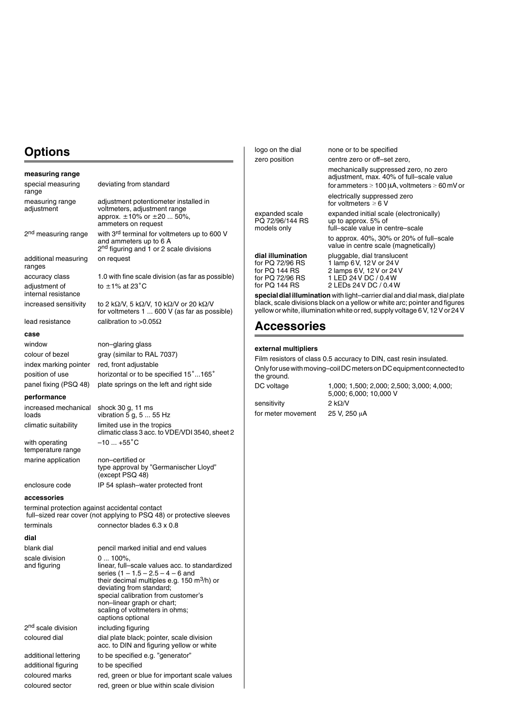# **Options**

| measuring range                                |                                                                                                                                                                                                                                                                                                              |
|------------------------------------------------|--------------------------------------------------------------------------------------------------------------------------------------------------------------------------------------------------------------------------------------------------------------------------------------------------------------|
| special measuring<br>range                     | deviating from standard                                                                                                                                                                                                                                                                                      |
| measuring range<br>adjustment                  | adjustment potentiometer installed in<br>voltmeters, adjustment range<br>approx. $\pm 10\%$ or $\pm 20$ 50%,<br>ammeters on request                                                                                                                                                                          |
| 2 <sup>nd</sup> measuring range                | with 3rd terminal for voltmeters up to 600 V<br>and ammeters up to 6 A<br>2 <sup>nd</sup> figuring and 1 or 2 scale divisions                                                                                                                                                                                |
| additional measuring<br>ranges                 | on request                                                                                                                                                                                                                                                                                                   |
| accuracy class                                 | 1.0 with fine scale division (as far as possible)                                                                                                                                                                                                                                                            |
| adjustment of<br>internal resistance           | to $\pm$ 1% at 23 $^{\circ}$ C                                                                                                                                                                                                                                                                               |
| increased sensitivity                          | to 2 kΩ/V, 5 kΩ/V, 10 kΩ/V or 20 kΩ/V<br>for voltmeters 1  600 V (as far as possible)                                                                                                                                                                                                                        |
| lead resistance                                | calibration to $>0.05\Omega$                                                                                                                                                                                                                                                                                 |
| case                                           |                                                                                                                                                                                                                                                                                                              |
| window                                         | non-glaring glass                                                                                                                                                                                                                                                                                            |
| colour of bezel                                | gray (similar to RAL 7037)                                                                                                                                                                                                                                                                                   |
| index marking pointer                          | red, front adjustable                                                                                                                                                                                                                                                                                        |
| position of use                                | horizontal or to be specified 15°165°                                                                                                                                                                                                                                                                        |
| panel fixing (PSQ 48)                          | plate springs on the left and right side                                                                                                                                                                                                                                                                     |
| performance                                    |                                                                                                                                                                                                                                                                                                              |
| increased mechanical<br>loads                  | shock 30 g, 11 ms<br>vibration 5 g, 5  55 Hz                                                                                                                                                                                                                                                                 |
| climatic suitability                           | limited use in the tropics<br>climatic class 3 acc. to VDE/VDI 3540, sheet 2                                                                                                                                                                                                                                 |
| with operating<br>temperature range            | $-10+55^{\circ}C$                                                                                                                                                                                                                                                                                            |
| marine application                             | non-certified or<br>type approval by "Germanischer Lloyd"<br>(except PSQ 48)                                                                                                                                                                                                                                 |
| enclosure code                                 | IP 54 splash-water protected front                                                                                                                                                                                                                                                                           |
| accessories                                    |                                                                                                                                                                                                                                                                                                              |
| terminal protection against accidental contact | full-sized rear cover (not applying to PSQ 48) or protective sleeves                                                                                                                                                                                                                                         |
| terminals                                      | connector blades 6.3 x 0.8                                                                                                                                                                                                                                                                                   |
| dial                                           |                                                                                                                                                                                                                                                                                                              |
| blank dial                                     | pencil marked initial and end values                                                                                                                                                                                                                                                                         |
| scale division<br>and figuring                 | $0100\%$ ,<br>linear, full-scale values acc. to standardized<br>series $(1 - 1.5 - 2.5 - 4 - 6$ and<br>their decimal multiples e.g. 150 $m^3/h$ ) or<br>deviating from standard;<br>special calibration from customer's<br>non-linear graph or chart;<br>scaling of voltmeters in ohms;<br>captions optional |
| 2 <sup>nd</sup> scale division                 | including figuring                                                                                                                                                                                                                                                                                           |
| coloured dial                                  | dial plate black; pointer, scale division<br>acc. to DIN and figuring yellow or white                                                                                                                                                                                                                        |
| additional lettering                           | to be specified e.g. "generator"                                                                                                                                                                                                                                                                             |
| additional figuring                            | to be specified                                                                                                                                                                                                                                                                                              |
| coloured marks                                 | red, green or blue for important scale values                                                                                                                                                                                                                                                                |
| coloured sector                                | red, green or blue within scale division                                                                                                                                                                                                                                                                     |

| logo on the dial                                                                          | none or to be specified                                                                                                                           |
|-------------------------------------------------------------------------------------------|---------------------------------------------------------------------------------------------------------------------------------------------------|
| zero position                                                                             | centre zero or off-set zero,                                                                                                                      |
|                                                                                           | mechanically suppressed zero, no zero<br>adjustment, max. 40% of full-scale value<br>for ammeters $\geq 100 \mu$ A, voltmeters $\geq 60 \mu$ V or |
|                                                                                           | electrically suppressed zero<br>for voltmeters $\geq 6$ V                                                                                         |
| expanded scale<br>PQ 72/96/144 RS<br>models only                                          | expanded initial scale (electronically)<br>up to approx. $5\%$ of<br>full–scale value in centre–scale                                             |
|                                                                                           | to approx. 40%, 30% or 20% of full–scale<br>value in centre scale (magnetically)                                                                  |
| dial illumination<br>for PQ 72/96 RS<br>for PQ 144 RS<br>for PQ 72/96 RS<br>for PQ 144 RS | pluggable, dial translucent<br>1 lamp 6V, 12V or 24V<br>2 lamps 6 V, 12 V or 24 V<br>1 LED 24 V DC / 0.4 W<br>2 LEDs 24 V DC / 0.4 W              |
|                                                                                           | an an a bhail aibhni billeann bha an bhaile an chuid an chuid an aibh an chaidh aibh an an cheadhail a bhailea                                    |

**special dial illumination** with light–carrier dial and dial mask, dial plate black, scale divisions black on a yellow or white arc; pointer and figures yellow or white, illumination white or red, supply voltage 6 V, 12 V or 24 V

### **Accessories**

#### **external multipliers**

Film resistors of class 0.5 accuracy to DIN, cast resin insulated. Only for use with moving–coil DC meters on DC equipment connected to the ground. DC voltage 1,000; 1,500; 2,000; 2,500; 3,000; 4,000;

sensitivity 2 k $\Omega$ /V for meter movement  $25$  V, 250  $\mu$ A

5,000; 6,000; 10,000 V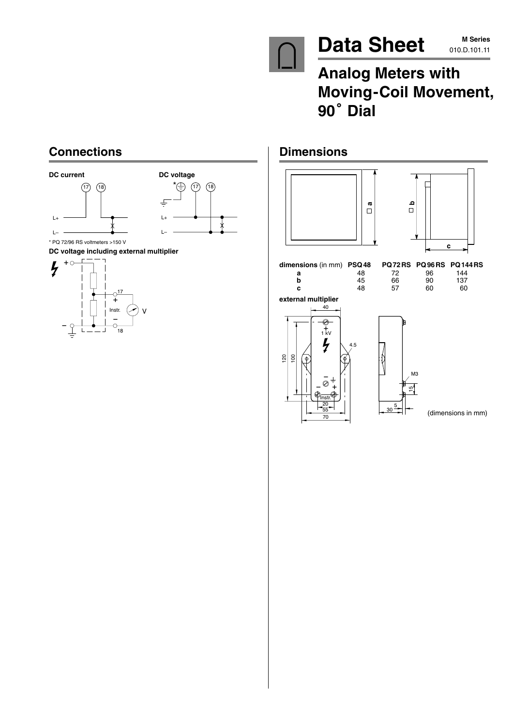

# Data Sheet M Series

# **Analog Meters with Moving-Coil Movement,** Analog<br>Moving·<br>90<sup>°</sup> Dial

# **Connections**





\* PQ 72/96 RS voltmeters >150 V

**DC voltage including external multiplier** -